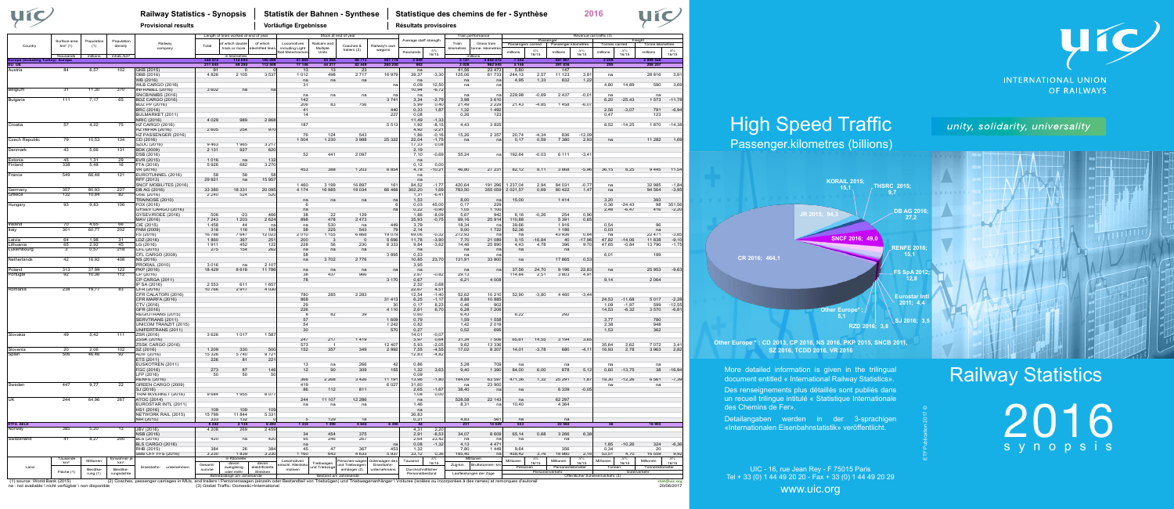## Railway Statistics

2016 synopsis

**2016**

# High Speed Traffic

Passenger.kilometres (billions)

**Railway Statistics - Synopsis Statistik der Bahnen - Synthese Statistique des chemins de fer - Synthèse**



- More detailed information is given in the trilingual document entitled « International Railway Statistics».
- Des renseignements plus détaillés sont publiés dans un recueil trilingue intitulé « Statistique Internationale
- Detailangaben werden in der 3-sprachigen «Internationalen Eisenbahnstatistik» veröffentlicht.

des Chemins de Fer».

UIC - 16, rue Jean Rey - F 75015 Paris Tel + 33 (0) 1 44 49 20 20 - Fax + 33 (0) 1 44 49 20 29

www.uic.org

### unity, solidarity, universality



ETF Publication 2017 ©

|                       |                           | Population<br>(1) |                              | Railway                                          |                   | Length of lines worked at end of year | of which          |                                | Stock at end of year  |                                | Railway's owr              | Average staff strength |                    |                   | Train performance       |                | Passenger       |                                         | Revenue rail traffic (3) |                                  | Freight             |                  |                     |
|-----------------------|---------------------------|-------------------|------------------------------|--------------------------------------------------|-------------------|---------------------------------------|-------------------|--------------------------------|-----------------------|--------------------------------|----------------------------|------------------------|--------------------|-------------------|-------------------------|----------------|-----------------|-----------------------------------------|--------------------------|----------------------------------|---------------------|------------------|---------------------|
| Country               | Surface area<br>$km2$ (1) |                   | Population<br>density        |                                                  | Total             | f which doubl                         |                   | Locomotives                    | Railcars and          | Coaches &                      |                            |                        |                    | Train             | Gross train             |                |                 | Passengers carried Passenger.kilometres |                          | Tonnes carried                   |                     | Tonne kilometres |                     |
|                       |                           |                   |                              | company                                          |                   | track or more                         | ectrified line:   | including Light<br>ail Motortr | Multiple<br>Units     | trailers (2)                   | wagons                     | thousands              | $\Lambda$ %        | cilometres        | nne. kilometr           | millions       | $\Lambda\%$     | millions                                | $\Lambda$ %              | million:                         | $\Lambda\%$         | millions         | $\Delta\%$          |
|                       | thousands                 | millions          | inhab./km <sup>2</sup>       |                                                  |                   | in kilometre:                         |                   |                                |                       |                                |                            |                        | 16/15              |                   |                         |                | 16/15           |                                         | 16/15                    |                                  | 16/15               |                  | 16/15               |
| urope<br>IU UE        | ng Turkey) Europa         |                   |                              |                                                  | 348 57<br>211 045 | 11269<br>69 285                       | 180 08<br>112 509 | 17 146                         | 55 28<br>44 217       | 82 449                         | 5677<br>260 200            | 204<br>862             |                    | 3 0 2 8           | 8520<br>962 945         | 5 1 4 6        |                 | 5879<br>391836                          |                          | 2 20<br>295                      |                     | 28995<br>288 257 |                     |
| Austria               | A                         | 8,57              | 102                          | GKB (2015)                                       | 9 <sup>-</sup>    |                                       |                   | 13                             | 13                    | 23                             |                            | na                     |                    | 41.56             | 23 4 7 3                | 5,80           |                 | 147                                     |                          |                                  |                     |                  |                     |
|                       |                           |                   |                              | ÖBB (2016)                                       | 4826              | 2 1 0 5                               | 3 5 37            | 1012                           | 498                   | 2717                           | 16 97                      | 39,37                  | $-3,30$            | 125,06            | 61733                   | 244,13         | 2,57            | 11 123                                  | $3.8^{\circ}$            | na                               |                     | 28 816           | 3,91                |
|                       |                           |                   |                              | WB (2016)                                        |                   |                                       |                   | na                             | na                    | na                             |                            | na                     |                    | na                | na                      | 4.95           | 1,33            | 832                                     | 1,22                     |                                  |                     |                  |                     |
|                       |                           |                   |                              | <b>WLB CARGO (2016)</b>                          |                   |                                       |                   | 31                             |                       |                                | n                          | 0,09                   | 12.50              | na                | na                      |                |                 |                                         |                          | 4,80                             | 14,89               | 590              | 3,69                |
| Belgium               | $\overline{31}$           | 11,30             | 370                          | INFRABEL (2016)                                  | 3 6 0 2           | na                                    | na                |                                |                       |                                |                            | 10,94                  | $-6,72$            | na                |                         | 229.98         | $-0.69$         | 2437                                    | $-0.01$                  |                                  |                     |                  |                     |
| Bulgaria              | 111                       | 7,17              | 65                           | SNCB/NMBS (2016)<br>BDZ CARGO (2016)             |                   |                                       |                   | na<br>142                      | na                    | na                             | 3741                       | na<br>3,34             | $-2,79$            | 3,98              | na<br>3610              |                |                 |                                         |                          | na<br>6,20                       | $-25,43$            | na<br>1573       | $-11,78$            |
|                       |                           |                   |                              | BDZ PP (2016)                                    |                   |                                       |                   | 206                            | 83                    | 756                            |                            | 5,99                   | 0,40               | 21,49             | 3 2 2 9                 | 21,43          | $-4,85$         | 1458                                    | $-6,07$                  |                                  |                     |                  |                     |
|                       |                           |                   |                              | BRC (2016)                                       |                   |                                       |                   | 41                             |                       |                                | 44(                        | 0.33                   | 1,87               | 1,32              | 1492                    |                |                 |                                         |                          | 2.56                             | $-3,07$             | 791              | $-6,94$             |
|                       |                           |                   |                              | BULMARKET (2011)                                 |                   |                                       |                   | 14                             |                       |                                | 227                        | 0.08                   |                    | 0,26              | 123                     |                |                 |                                         |                          | 0,47                             |                     | 123              |                     |
|                       |                           |                   |                              | NRIC (2016)                                      | 4 0 2 9           | 989                                   | 2 8 6 8           |                                |                       |                                |                            | 11,49                  | $-1,33$            |                   |                         |                |                 |                                         |                          |                                  |                     |                  |                     |
| Croatia               | 57                        | 4,22              | 75                           | <b>HZ CARGO (2016)</b><br><b>HZ INFRA (2016)</b> | 2 6 0 5           | 254                                   | 970               | 187                            |                       |                                | 551                        | 1.92<br>4,92           | $-8,15$<br>$-2,21$ | 4,43              | 3825                    |                |                 |                                         |                          | 8,52                             | $-14,25$            | 1870             | $-14,38$            |
|                       |                           |                   |                              | HZ PASSENGER (2016)                              |                   |                                       |                   | 76                             | 124                   | 543                            |                            | 1.86                   | $-0,16$            | 15,26             | 2 3 5 7                 | 20,74          | $-4,34$         | 836                                     | $-12,09$                 |                                  |                     |                  |                     |
| <b>Czech Republic</b> | 79                        | 10,53             | 134                          | CD (2016)                                        |                   |                                       |                   | 1 504                          | 1 2 3 0               | 3988                           | 25 32                      | 22,04                  | $-1,75$            | na                | na                      | 0,17           | 0,59            | 7 3 8 0                                 | 2,93                     | na                               |                     | 11 282           | 1,69                |
|                       |                           |                   |                              | SZDC (2016)                                      | 9463              | 1965                                  | 3 2 1 7           |                                |                       |                                |                            | 17,33                  | 0,08               |                   |                         |                |                 |                                         |                          |                                  |                     |                  |                     |
| Denmark               | 43                        | 5,66              | 131                          | BDK (2009)                                       | 2 1 3 1           | 927                                   | 620               |                                |                       |                                |                            | 2.19                   |                    |                   |                         |                |                 |                                         |                          |                                  |                     |                  |                     |
|                       |                           |                   |                              | DSB (2016)                                       |                   |                                       |                   | 52                             | 441                   | 2097                           |                            | 7,10                   | $-0.69$            | 55,24             | na                      | 192,64         | $-0.03$         | 6 1 1 1                                 | $-3,41$                  |                                  |                     |                  |                     |
| Estonia<br>Finland    | 45<br>338                 | 1,31<br>5.48      | 29<br>16                     | EVR (2015)<br>FTA (2016)                         | 1016<br>5926      | na<br>682                             | 132<br>3 2 7 0    |                                |                       |                                |                            | na<br>0.12             | 0.00               |                   |                         |                |                 |                                         |                          |                                  |                     |                  |                     |
|                       |                           |                   |                              | VR (2016)                                        |                   |                                       |                   | 453                            | 388                   | 1 2 0 3                        | 8 8 5                      | 4,78                   | $-10,21$           | 46,80             | 2723'                   | 82,12          | 8,11            | 3868                                    | $-5,96$                  | 36, 15                           | 8.25                | 9 4 4 5          | 11,54               |
| France                | 549                       | 66,48             | 121                          | EUROTUNNEL (2016)                                | 58                | 58                                    | 58                |                                |                       |                                |                            | na                     |                    |                   |                         |                |                 |                                         |                          |                                  |                     |                  |                     |
|                       |                           |                   |                              | RFF (2013)                                       | 29 9 21           | na                                    | 15 957            |                                |                       |                                |                            | na                     |                    |                   |                         |                |                 |                                         |                          |                                  |                     |                  |                     |
|                       |                           |                   |                              | SNCF MOBILITES (2016)                            |                   |                                       |                   | 1460                           | 3 1 9 9               | 16 897                         | 16                         | 84,52                  | $-1,77$            | 420,64            | 191 296                 | 1 237,04       | 2,94            | 84 031                                  | $-0,77$                  | na                               |                     | 32 985           | $-1,84$             |
| Germany<br>Greece     | 357<br>132                | 80,93<br>10,84    | 227<br>82                    | DB AG (2016)<br>OSE (2016)                       | 33 380<br>2 2 4 0 | 18 331<br>524                         | 20 095<br>52(     | 4 1 7 4                        | 16 985                | 19 0 34                        | 86 468                     | 302,20<br>1.31         | 1,69               | 783,50            | 355 059                 | 2 0 2 1 . 5 7  | 0.69            | 80 4 22                                 | 1,47                     | na                               |                     | 94 564           | $-3,95$             |
|                       |                           |                   |                              | <b>TRAINOSE (2010)</b>                           |                   |                                       |                   | na                             | na                    | na                             | na                         | 1,53                   | $-6,41$            | 8,00              | na                      | 15,00          |                 | 1414                                    |                          | 3.20                             |                     | 393              |                     |
| lungary               | 93                        | 9,83              | 106                          | FOX (2016)                                       |                   |                                       |                   |                                |                       |                                |                            | 0,03                   | 45,00              | 0,17              | 229                     |                |                 |                                         |                          | 0.36                             | $-24,43$            | 98               | 351,56              |
|                       |                           |                   |                              | GYSEV CARGO (2016)                               |                   |                                       |                   | na                             |                       |                                |                            | 0.22                   | $-0,90$            | 1,05              | 1 100                   |                |                 |                                         |                          | 2,48                             | $-6.47$             | 416              | $-2,20$             |
|                       |                           |                   |                              | GYSEV/RÖEE (2016)                                | 506               | $-23$                                 | 466               | 38                             | 22                    | 129                            |                            | 1,86                   | $-8,09$            | 5,67              | 942                     | 6,16           | $-0,26$         | 254                                     | 0,90                     |                                  |                     |                  |                     |
|                       |                           |                   |                              | MAV (2016)                                       | 7 2 4 3           | 1 2 0 3                               | 2 6 2 4           | 898                            | 478                   | 2 4 7 3                        |                            | 35.93                  | $-0,75$            | 89.16             | 25914                   | 110.88         |                 | 5 3 9 1                                 | 0,65                     |                                  |                     |                  |                     |
| Ireland<br>taly       | 70<br>301                 | 4,65<br>60,77     | 66<br>202                    | CIE (2015)<br>FNM (2009                          | 1458<br>318       | 44<br>116                             | 195               | na<br>58                       | 530<br>225            | na<br>543                      | 44<br>79                   | 3,79<br>2.14           |                    | 18,34<br>9,00     | 1722                    | 39,66<br>52,36 |                 | 1916<br>1 1 8 6                         |                          | 0.54<br>0,03                     |                     | 96<br>na         |                     |
|                       |                           |                   |                              | FS (2016)                                        | 16788             | 7647                                  | 12 023            | 2010                           | 1 1 5 5               | 6868                           | 19 079                     | 69.06                  | $-0.32$            | 272.93            | na                      | na             |                 | 43 936                                  | 0.84                     | na                               |                     | 22 471           | $-3.85$             |
| atvia                 | 64                        | 1.98              | 31                           | LDZ (2016)                                       | 1860              | 367                                   | 251               | 200                            | - 3                   | $\overline{0}$                 | 5 6 9 6                    | 11,78                  | $-3,90$            | 7,70              | 21 089                  | 0, 15          | $-16,84$        | 40                                      | $-17,96$                 | 47,82                            | $-14,06$            | 11838            | $-9,10$             |
| ithuania              | 65                        | 2,92              | 45                           | LG (2016)                                        | 1911              | 452                                   | 122               | 228                            | 56                    | 230                            | 8 3 3                      | 9,84                   | $-3,62$            | 14,46             | 25 890                  | 4,43           | 4,78            | 396                                     | 9,70                     | 47,65                            | $-0,84$             | 13 790           | $-1,75$             |
| uxembourg             | 3                         | 0.57              | 218                          | CFL (2015)                                       | 275               | 154                                   | 262               | na                             | na                    | na                             |                            | na                     |                    | na                | na                      | na             |                 | na                                      |                          |                                  |                     |                  |                     |
| Netherlands           | 42                        | 16,92             | 408                          | CFL CARGO (2009)<br>NS (2016)                    |                   |                                       |                   | 58<br>na                       | 3702                  | 2776                           | 3895                       | 0,53<br>10,85          | 23,70              | na<br>131,91      | n.<br>33 800            |                |                 | 17865                                   | 0,53                     | 6,01                             |                     | 189              |                     |
|                       |                           |                   |                              | <b>PRORAIL (2010)</b>                            | 3016              | na                                    | 2.10              |                                |                       |                                |                            | 3,95                   |                    |                   |                         | na             |                 |                                         |                          |                                  |                     |                  |                     |
| Poland                | 313                       | 37,99             | 122                          | PKP (2016)                                       | 18 4 29           | 8618                                  | 11 786            | na                             | na                    | na                             |                            | na                     |                    | na                | $n$ a                   | 37,56          | 24,70           | 9 1 9 6                                 | 22,83                    | na                               |                     | 25 953           | $-9,63$             |
| <b>Portugal</b>       | 92                        | 10,36             | 112                          | CP (2016)                                        |                   |                                       |                   | 38                             | 437                   | 966                            |                            | 2.67                   | $-0,82$            | 29.13             |                         | 114,84         | 2.51            | 3803                                    | 4.91                     |                                  |                     |                  |                     |
|                       |                           |                   |                              | CP CARGA (2011)                                  |                   |                                       |                   | 78                             |                       |                                | 3 1 7 0                    | 0.67                   |                    | 6,21              | 4 0 0 8                 |                |                 |                                         |                          | 9.14                             |                     | 2 0 6 4          |                     |
|                       | 238                       |                   |                              | IP SA (2016)                                     | 2 5 5 3           | 611                                   | 1 657             |                                |                       |                                |                            | 2,52                   | 0,68               |                   |                         |                |                 |                                         |                          |                                  |                     |                  |                     |
| Romania               |                           | 19,77             | 83                           | CFR (2016)<br>CFR CALATORI (2016)                | 10766             | 2917                                  | 4 0 3 0           | 780                            | 285                   | 2 2 8 3                        |                            | 22,67<br>12,54         | 4,51<br>$-1,40$    | 52,62             | 10 210                  | 52.90          | $-3.80$         | 4 4 6 0                                 | $-3.44$                  |                                  |                     |                  |                     |
|                       |                           |                   |                              | CFR MARFA (2016)                                 |                   |                                       |                   | 868                            |                       |                                | 31 41                      | 6,25                   | $-1, 17$           | 8,88              | 10885                   |                |                 |                                         |                          | 24,53                            | $-11,68$            | 5017             | $-2,28$             |
|                       |                           |                   |                              | CTV (2016)                                       |                   |                                       |                   | 29                             |                       |                                |                            | 0.17                   | 8.23               | 0.46              | 902                     |                |                 |                                         |                          | 1.09                             | $-1,97$             | 599              | $-12.55$            |
|                       |                           |                   |                              | GFR (2016)                                       |                   |                                       |                   | 226                            |                       |                                | 4 1 1 0                    | 2,61                   | 6,70               | 6,28              | 7 2 0 6                 |                |                 |                                         |                          | 14,53                            | $-6,32$             | 3 5 7 0          | $-6, 81$            |
|                       |                           |                   |                              | REGIOTRANS (2015)                                |                   |                                       |                   |                                | 82                    | 39                             |                            | 0,60                   |                    | 6,43              |                         | 6,22           |                 | 292                                     |                          |                                  |                     |                  |                     |
|                       |                           |                   |                              | SERVTRANS (2011)<br>UNICOM TRANZIT (2015)        |                   |                                       |                   | 57<br>54                       |                       |                                | 1 60<br>1 2 42             | 0.79                   |                    | 1,59              | 1 5 5 8<br>2019         |                |                 |                                         |                          | 3.77                             |                     | 780<br>948       |                     |
|                       |                           |                   |                              | UNIFERTRANS (2011)                               |                   |                                       |                   | 30                             |                       |                                | 57                         | 0,82<br>0,27           |                    | 1,42<br>0.52      | 695                     |                |                 |                                         |                          | 2,38<br>1,53                     |                     | 362              |                     |
| Slovakia              | 49                        | 5,42              | 111                          | 7SR (2016)                                       | 3626              | 1017                                  | 1 587             |                                |                       |                                |                            | 14 01                  | $-0,0$             |                   |                         |                |                 |                                         |                          |                                  |                     |                  |                     |
|                       |                           |                   |                              | ZSSK (2016)                                      |                   |                                       |                   | 247                            | 217                   | 1419                           |                            | 5,97                   | 0,64               | 31,34             | 7 506                   | 65,61          | 14,55           | 3 1 9 4                                 | 3,65                     |                                  |                     |                  |                     |
|                       |                           |                   |                              | ZSSK CARGO (2016)                                |                   |                                       |                   | 573                            |                       |                                | 12 407                     | 5,93                   | $-2,05$            | 9,62              | 13 336                  |                |                 |                                         |                          | 35,64                            | 2,62                | 7072             | 3.41                |
| Slovenia              | $\overline{20}$           | 2.06              | 102                          | SZ (2016)                                        | 1 2 0 9           | 330                                   | 500               | 152                            | 357                   | 349                            | 2992                       | 7,55                   | $-4,55$            | 17,02             | 8 2 0 7                 | 14,01          | $-3,78$         | 680                                     | $-4, 11$                 | 16,93                            | 2,78                | 3963             | 2,82                |
| Spain                 | 506                       | 46,46             | 92                           | ADIF (2016<br>ETS (2011)                         | 15 3 26<br>226    | 5740<br>81                            | 9 7 21<br>221     |                                |                       |                                |                            | 12,83                  | $-4,82$            |                   |                         |                |                 |                                         |                          |                                  |                     |                  |                     |
|                       |                           |                   |                              | EUSKOTREN (2011)                                 |                   |                                       |                   | 13                             | na                    | 266                            | $\mathbf{A}$               | 0.86                   |                    | 5.28              | 70 <sup>c</sup>         | na             |                 | na                                      |                          | na                               |                     | na               |                     |
|                       |                           |                   |                              | FGC (2016)                                       | 273               | 87                                    | 146               | 12                             | 90                    | 309                            | 155                        | 1,32                   | 3,63               | 9,40              | 1 3 9 0                 | 84,00          | 6,00            | 878                                     | 5,12                     | 0,60                             | $-13,75$            | 38               | $-16,94$            |
|                       |                           |                   |                              | FP (2016)                                        | -50               | 50                                    | 50                |                                |                       |                                |                            | 0.09                   |                    |                   |                         |                |                 |                                         |                          |                                  |                     |                  |                     |
|                       |                           |                   |                              | <b>RENFE (2016)</b>                              |                   |                                       |                   | 366                            | 2 2 6 8               | 3 4 2 6                        | 1119'                      | 13,96                  | $-1,80$            | 184,09            | 63 597                  | 471,36         | 1,32            | 25.29                                   | 1,87                     | 18,30                            | $-12,26$            | 6 5 61           | $-7,39$             |
| Sweden                | 447                       | 9,77              | 22                           | GREEN CARGO (2009)                               |                   |                                       |                   | 419<br>86                      | 112                   |                                | 602                        | 31,60                  | $-1.6$             | na<br>38.40       | 23 900                  |                |                 | 6.339                                   |                          | na                               |                     | na               |                     |
|                       |                           |                   |                              | SJ (2016)<br>TRAFIKVERKET (2016)                 | 9684              | 1955                                  | 8 0 7             |                                |                       | 811                            |                            | 2.65<br>1,08           | 0,00               |                   | na                      | na             |                 |                                         | $-0,05$                  |                                  |                     |                  |                     |
| JK                    | 244                       | 64,96             | 267                          | ATOC (2014)                                      |                   |                                       |                   | 244                            | 11 107                | 12 28 6                        |                            | na                     |                    | 528,58            | 22 143                  | na             |                 | 62 297                                  |                          |                                  |                     |                  |                     |
|                       |                           |                   |                              | EUROSTAR INTL (2011)                             |                   |                                       |                   | na                             | na                    | na                             |                            | 1.46                   |                    | 8,31              | na                      | 10.40          |                 | 4 3 6 4                                 |                          |                                  |                     |                  |                     |
|                       |                           |                   |                              | HS1 (2016)                                       | 109               | 109                                   | 109               |                                |                       |                                |                            | na                     |                    |                   |                         |                |                 |                                         |                          |                                  |                     |                  |                     |
|                       |                           |                   |                              | NETWORK RAIL (2015)                              | 15799             | 11844                                 | 5 3 3 1           |                                |                       |                                |                            | 36,83                  |                    |                   |                         |                |                 |                                         |                          |                                  |                     |                  |                     |
| <b>TFA AELE</b>       |                           |                   |                              | NIR (2015)                                       | 333<br>8 2 4 2    | 132<br>2 1 3 4                        | 6493              | 1 3 3 4                        | 129<br>1 3 9 0        | 18<br>5 6 4 2                  | 6 3 9 0                    | 0.31<br>44             |                    | 4.83<br>231       | 561<br>14 5 29          | na<br>533      |                 | na<br>22 582                            |                          |                                  |                     | 16 903           |                     |
| Vorway                | 385                       | 5,20              | 13                           | JBV (2016)                                       | 4 2 0 8           | 269                                   | 2 4 5 9           |                                |                       |                                |                            | 4.31                   | 2,20               |                   |                         |                |                 |                                         |                          |                                  |                     |                  |                     |
|                       |                           |                   |                              | NSB (2016)                                       |                   |                                       |                   | 34                             | 454                   | 375                            |                            | 2,91                   | $-8,53$            | 34,07             | 8 6 0 9                 | 65,14          | 0,68            | 3 2 6 6                                 | 6,38                     |                                  |                     |                  |                     |
| Switzerland           | 41                        | 8,27              | 200                          | BLS (2016)                                       | 420               | na                                    | 420               | 95                             | 246                   | 267                            |                            | 2.64                   | 23,42              | na                |                         |                |                 | na                                      |                          |                                  |                     |                  |                     |
|                       |                           |                   |                              | <b>BLS CARGO (2016)</b>                          |                   |                                       |                   | na                             |                       |                                | $n\epsilon$                | 0,08                   | $-1,32$            | 4,13              | 4 4 7 1                 |                |                 |                                         |                          | 1.85                             | $-10,26$            | 324              | $-6,36$             |
|                       |                           |                   |                              | RHB (2015)                                       | 384               | 26                                    | 384               | 45                             | 47                    | 367                            | 453                        | 1.32                   |                    | 7.80              | 1449                    | 9.64           |                 | 356                                     |                          | 0.34                             |                     | 20               |                     |
|                       | Tausend                   |                   |                              | SBB CFF FFS (2016)                               | 3 2 3 0           | 1839<br>in Kilometer                  | 3 2 3 0           | 1 160                          | 643                   | 4.633                          | 5937                       | 33.12                  | 0.36               | 185,40<br>Million | na                      | 458.42         | 3.76            | 18 960                                  | 216                      | 53.51                            | 4.70                | 16 559           | 9,92                |
|                       | km <sup>2</sup>           | Millionen         | Einwohner<br>km <sup>2</sup> |                                                  |                   | davon                                 | davon             | I okomotiven                   | Triebwagen            | Personen-wagen                 | Güterwagen de:             | Tausend                | 16/15              |                   |                         | Millionen      | 16/15           | Millionen                               | $\Delta\%$<br>16/15      | Millionen                        | $\Delta\%$<br>16/15 | Millionen        | $\Delta\%$<br>16/15 |
| Land                  |                           | Bevölke           | Bevölke-                     | Eisenbahn- unternehmen                           | Gesamt-<br>summe  | zweigleisig                           | elektrifizierte   | inschl. Kleinloko-<br>motiven  | und Triebzüge         | und Triebwagen<br>anhänger (2) | Eisenbahn-<br>unternehmens | Durchschnittlicher     |                    | Zua-km            | Bruttotonnen- kı        | Personen       |                 | Personenkilometer                       |                          | Tonner                           |                     | Tonnenkilometer  |                     |
|                       | Fläche (1)                | rung $(1)$        | rungsdichte                  |                                                  |                   | oder mehr                             | Strecken          |                                | Bestand am Jahresende |                                |                            | Personalbestand        |                    |                   | Laufleistungen der Züge |                | Personenverkehr |                                         |                          | Öffentlicher Schienenverkehr (3) |                     | Güterverkehr     |                     |
|                       |                           |                   |                              |                                                  |                   | Betriebslänge am Jahresende           |                   |                                |                       |                                |                            |                        |                    |                   |                         |                |                 |                                         |                          |                                  |                     |                  |                     |

Length of lines worked at end of year

**Provisional results and COVID-1 Vorläufige Ergebnisse Résultats provisoires Résultats provisoires** 

20/06/2017 **stat@uic.org**



**INTERNATIONAL UNION** OF RAILWAYS



**Other Europe \* : CD 2013, CP 2016, NS 2016, PKP 2015, SNCB 2011, SZ 2016, TCDD 2016, VR 2016**

**CR 2016; 464,1**